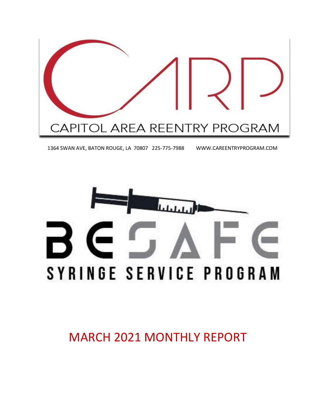

1364 SWAN AVE, BATON ROUGE, LA 70807 225-775-7988 WWW.CAREENTRYPROGRAM.COM



MARCH 2021 MONTHLY REPORT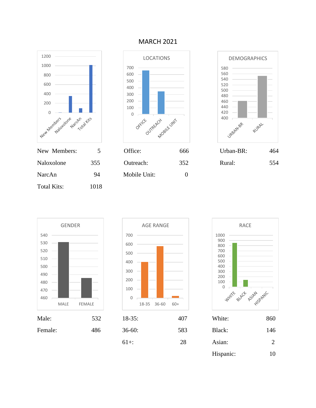

Total Kits: 1018

#### MARCH 2021











| Male:   | 532 | $18-35:$ | 407 | White:    | 860            |
|---------|-----|----------|-----|-----------|----------------|
| Female: | 486 | $36-60:$ | 583 | Black:    | 146            |
|         |     | $61+$ :  | 28  | Asian:    | $\overline{2}$ |
|         |     |          |     | Hispanic: | 10             |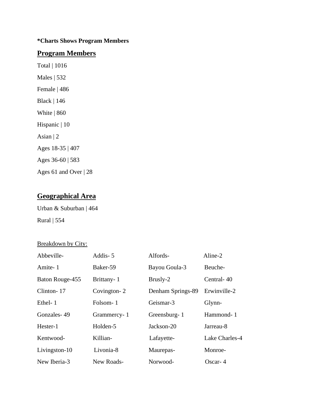### **\*Charts Shows Program Members**

### **Program Members**

Total | 1016 Males | 532 Female | 486 Black | 146 White | 860 Hispanic | 10 Asian | 2 Ages 18-35 | 407 Ages 36-60 | 583 Ages 61 and Over | 28

## **Geographical Area**

Urban & Suburban | 464 Rural | 554

#### Breakdown by City:

| Abbeville-      | Addis-5     | Alfords-          | Aline-2        |
|-----------------|-------------|-------------------|----------------|
| Amite-1         | Baker-59    | Bayou Goula-3     | Beuche-        |
| Baton Rouge-455 | Brittany-1  | Brusly-2          | Central-40     |
| Clinton-17      | Covington-2 | Denham Springs-89 | Erwinville-2   |
| Ethel-1         | Folsom-1    | Geismar-3         | Glynn-         |
| Gonzales-49     | Grammercy-1 | Greensburg-1      | Hammond-1      |
| Hester-1        | Holden-5    | Jackson-20        | Jarreau-8      |
| Kentwood-       | Killian-    | Lafayette-        | Lake Charles-4 |
| Livingston-10   | Livonia-8   | Maurepas-         | Monroe-        |
| New Iberia-3    | New Roads-  | Norwood-          | Oscar- $4$     |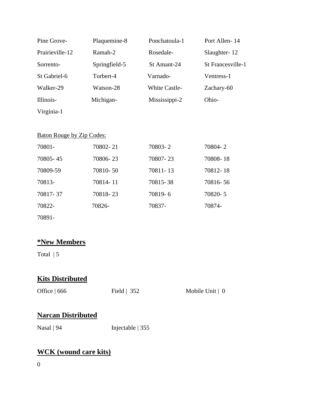| Pine Grove-     | Plaquemine-8  | Ponchatoula-1        | Port Allen-14     |
|-----------------|---------------|----------------------|-------------------|
| Prairieville-12 | Ramah-2       | Rosedale-            | Slaughter-12      |
| Sorrento-       | Springfield-5 | St Amant-24          | St Francesville-1 |
| St Gabriel-6    | Torbert-4     | Varnado-             | Ventress-1        |
| Walker-29       | Watson-28     | <b>White Castle-</b> | Zachary-60        |
| Illinois-       | Michigan-     | Mississippi-2        | Ohio-             |
| Virginia-1      |               |                      |                   |

### Baton Rouge by Zip Codes:

| 70801-   | 70802-21 | 70803-2  | 70804-2  |
|----------|----------|----------|----------|
| 70805-45 | 70806-23 | 70807-23 | 70808-18 |
| 70809-59 | 70810-50 | 70811-13 | 70812-18 |
| 70813-   | 70814-11 | 70815-38 | 70816-56 |
| 70817-37 | 70818-23 | 70819-6  | 70820-5  |
| 70822-   | 70826-   | 70837-   | 70874-   |
| 70891-   |          |          |          |

## **\*New Members**

Total  $| 5$ 

## **Kits Distributed**

| Office $\vert 666 \vert$ | Field $\vert$ 352 | Mobile Unit $\vert 0 \rangle$ |
|--------------------------|-------------------|-------------------------------|
|                          |                   |                               |

## **Narcan Distributed**

Nasal | 94 Injectable | 355

# **WCK (wound care kits)**